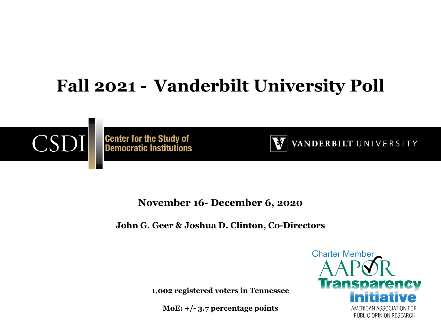#### **Fall 2021 - Vanderbilt University Poll**



**Center for the Study of<br>Democratic Institutions** 



VANDERBILT UNIVERSITY

**November 16- December 6, 2020**

**John G. Geer & Joshua D. Clinton, Co-Directors**

**1,002 registered voters in Tennessee**

**MoE: +/- 3.7 percentage points**

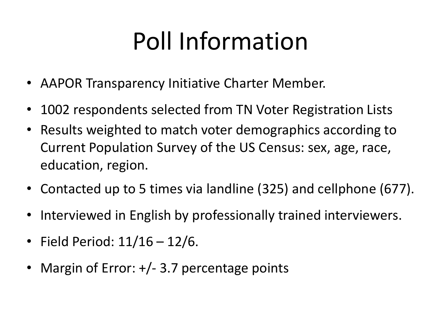# Poll Information

- AAPOR Transparency Initiative Charter Member.
- 1002 respondents selected from TN Voter Registration Lists
- Results weighted to match voter demographics according to Current Population Survey of the US Census: sex, age, race, education, region.
- Contacted up to 5 times via landline (325) and cellphone (677).
- Interviewed in English by professionally trained interviewers.
- Field Period: 11/16 12/6.
- Margin of Error:  $+/- 3.7$  percentage points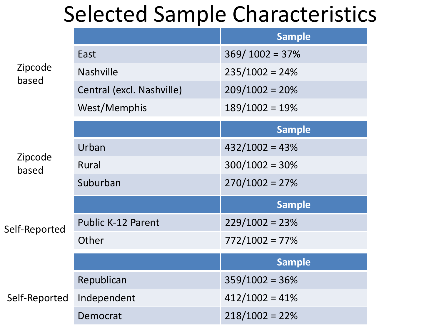# Selected Sample Characteristics

|                  |                           | <b>Sample</b>    |
|------------------|---------------------------|------------------|
| Zipcode<br>based | East                      | $369/1002 = 37%$ |
|                  | <b>Nashville</b>          | $235/1002 = 24%$ |
|                  | Central (excl. Nashville) | $209/1002 = 20%$ |
|                  | West/Memphis              | $189/1002 = 19%$ |
|                  |                           | <b>Sample</b>    |
| Zipcode<br>based | Urban                     | $432/1002 = 43%$ |
|                  | Rural                     | $300/1002 = 30%$ |
|                  | Suburban                  | $270/1002 = 27%$ |
| Self-Reported    |                           | <b>Sample</b>    |
|                  | <b>Public K-12 Parent</b> | $229/1002 = 23%$ |
|                  | Other                     | $772/1002 = 77%$ |
|                  |                           | <b>Sample</b>    |
| Self-Reported    | Republican                | $359/1002 = 36%$ |
|                  | Independent               | $412/1002 = 41%$ |
|                  | Democrat                  | $218/1002 = 22%$ |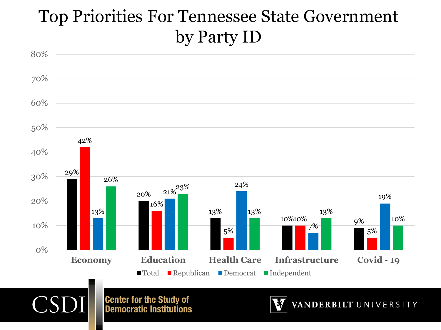#### Top Priorities For Tennessee State Government by Party ID

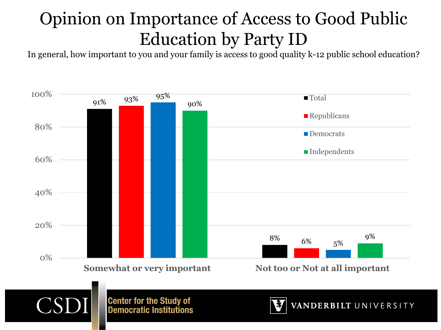# Opinion on Importance of Access to Good Public Education by Party ID

In general, how important to you and your family is access to good quality k-12 public school education?





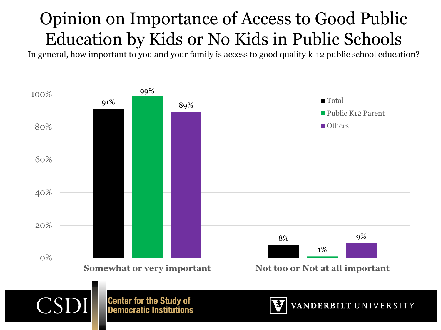# Opinion on Importance of Access to Good Public Education by Kids or No Kids in Public Schools

In general, how important to you and your family is access to good quality k-12 public school education?

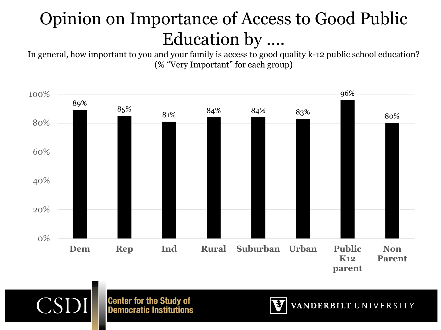# Opinion on Importance of Access to Good Public Education by ….

In general, how important to you and your family is access to good quality k-12 public school education? (% "Very Important" for each group)





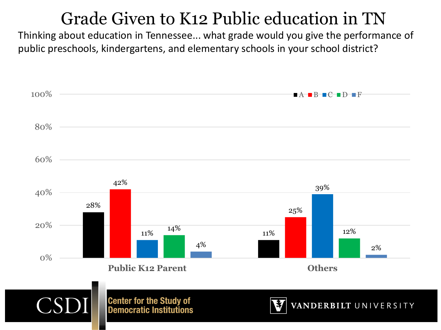#### Grade Given to K12 Public education in TN

Thinking about education in Tennessee... what grade would you give the performance of public preschools, kindergartens, and elementary schools in your school district?

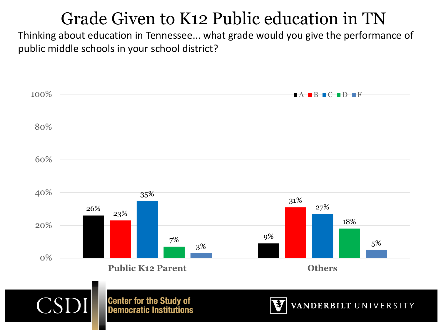#### Grade Given to K12 Public education in TN

Thinking about education in Tennessee... what grade would you give the performance of public middle schools in your school district?

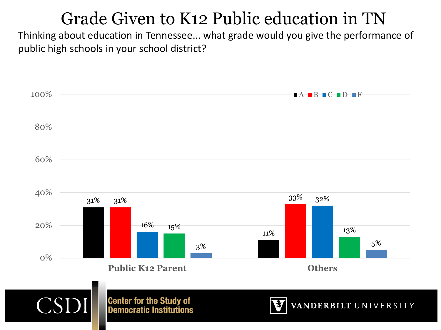#### Grade Given to K12 Public education in TN

Thinking about education in Tennessee... what grade would you give the performance of public high schools in your school district?

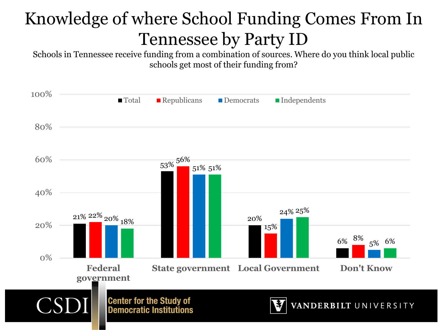# Knowledge of where School Funding Comes From In Tennessee by Party ID

Schools in Tennessee receive funding from a combination of sources. Where do you think local public schools get most of their funding from?

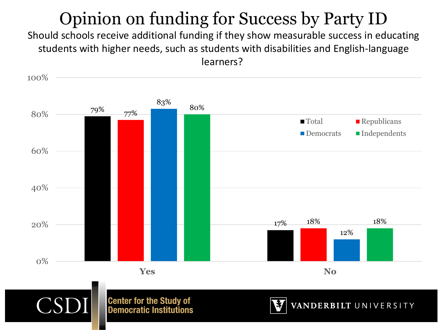#### Opinion on funding for Success by Party ID

Should schools receive additional funding if they show measurable success in educating students with higher needs, such as students with disabilities and English-language learners?

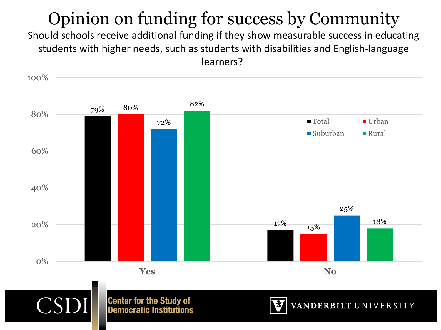# Opinion on funding for success by Community

Should schools receive additional funding if they show measurable success in educating students with higher needs, such as students with disabilities and English-language learners?

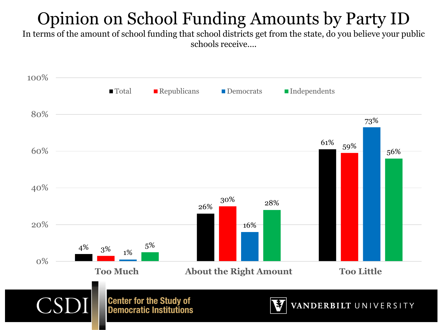# Opinion on School Funding Amounts by Party ID

In terms of the amount of school funding that school districts get from the state, do you believe your public schools receive….

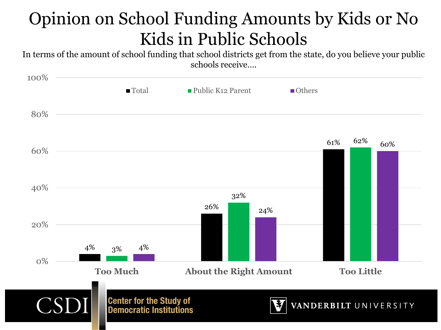#### Opinion on School Funding Amounts by Kids or No Kids in Public Schools

In terms of the amount of school funding that school districts get from the state, do you believe your public schools receive….

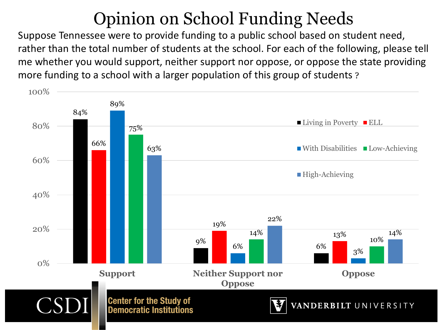#### Opinion on School Funding Needs

Suppose Tennessee were to provide funding to a public school based on student need, rather than the total number of students at the school. For each of the following, please tell me whether you would support, neither support nor oppose, or oppose the state providing more funding to a school with a larger population of this group of students ?

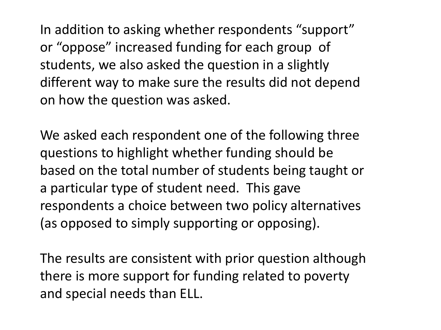In addition to asking whether respondents "support" or "oppose" increased funding for each group of students, we also asked the question in a slightly different way to make sure the results did not depend on how the question was asked.

We asked each respondent one of the following three questions to highlight whether funding should be based on the total number of students being taught or a particular type of student need. This gave respondents a choice between two policy alternatives (as opposed to simply supporting or opposing).

The results are consistent with prior question although there is more support for funding related to poverty and special needs than ELL.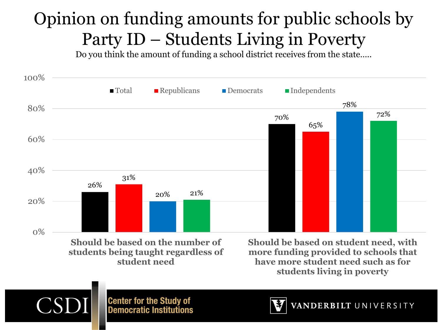# Opinion on funding amounts for public schools by Party ID – Students Living in Poverty

Do you think the amount of funding a school district receives from the state…..





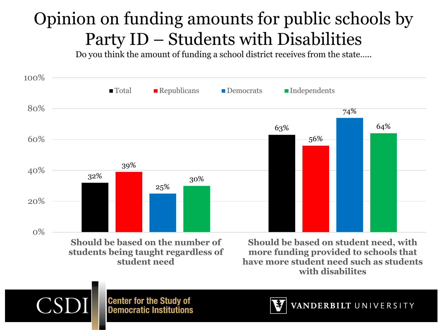#### Opinion on funding amounts for public schools by Party ID – Students with Disabilities

Do you think the amount of funding a school district receives from the state…..





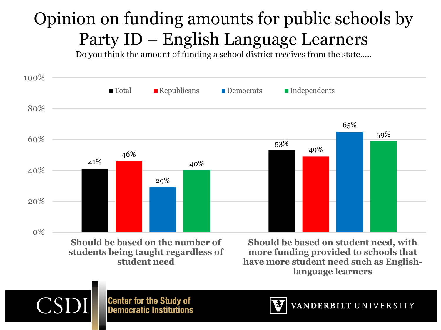# Opinion on funding amounts for public schools by Party ID – English Language Learners

Do you think the amount of funding a school district receives from the state…..





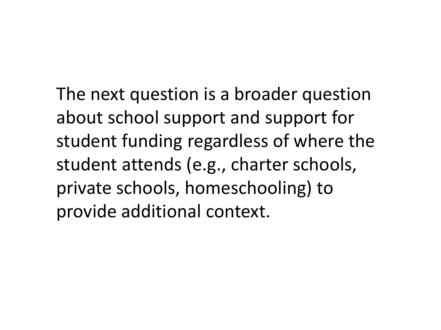The next question is a broader question about school support and support for student funding regardless of where the student attends (e.g., charter schools, private schools, homeschooling) to provide additional context.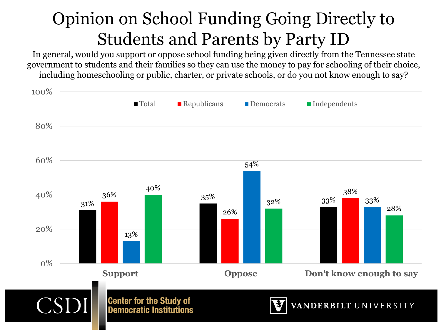#### Opinion on School Funding Going Directly to Students and Parents by Party ID

In general, would you support or oppose school funding being given directly from the Tennessee state government to students and their families so they can use the money to pay for schooling of their choice, including homeschooling or public, charter, or private schools, or do you not know enough to say?

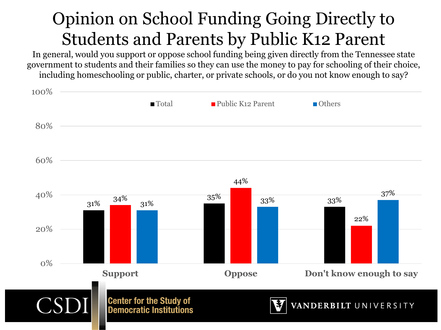#### Opinion on School Funding Going Directly to Students and Parents by Public K12 Parent

In general, would you support or oppose school funding being given directly from the Tennessee state government to students and their families so they can use the money to pay for schooling of their choice, including homeschooling or public, charter, or private schools, or do you not know enough to say?

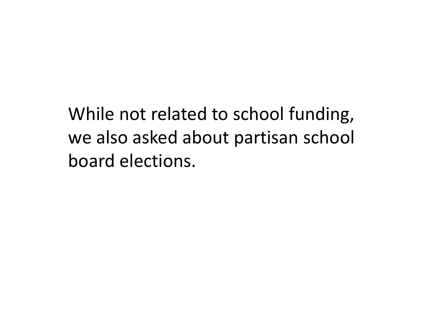While not related to school funding, we also asked about partisan school board elections.